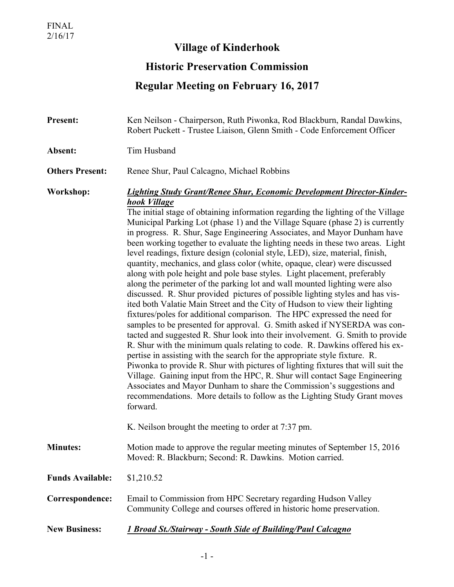## **Village of Kinderhook**

## **Historic Preservation Commission**

## **Regular Meeting on February 16, 2017**

| <b>Present:</b>         | Ken Neilson - Chairperson, Ruth Piwonka, Rod Blackburn, Randal Dawkins,<br>Robert Puckett - Trustee Liaison, Glenn Smith - Code Enforcement Officer                                                                                                                                                                                                                                                                                                                                                                                                                                                                                                                                                                                                                                                                                                                                                                                                                                                                                                                                                                                                                                                                                                                                                                                                                                                                                                                                                                                                                                                                                                                                                                 |
|-------------------------|---------------------------------------------------------------------------------------------------------------------------------------------------------------------------------------------------------------------------------------------------------------------------------------------------------------------------------------------------------------------------------------------------------------------------------------------------------------------------------------------------------------------------------------------------------------------------------------------------------------------------------------------------------------------------------------------------------------------------------------------------------------------------------------------------------------------------------------------------------------------------------------------------------------------------------------------------------------------------------------------------------------------------------------------------------------------------------------------------------------------------------------------------------------------------------------------------------------------------------------------------------------------------------------------------------------------------------------------------------------------------------------------------------------------------------------------------------------------------------------------------------------------------------------------------------------------------------------------------------------------------------------------------------------------------------------------------------------------|
| Absent:                 | Tim Husband                                                                                                                                                                                                                                                                                                                                                                                                                                                                                                                                                                                                                                                                                                                                                                                                                                                                                                                                                                                                                                                                                                                                                                                                                                                                                                                                                                                                                                                                                                                                                                                                                                                                                                         |
| <b>Others Present:</b>  | Renee Shur, Paul Calcagno, Michael Robbins                                                                                                                                                                                                                                                                                                                                                                                                                                                                                                                                                                                                                                                                                                                                                                                                                                                                                                                                                                                                                                                                                                                                                                                                                                                                                                                                                                                                                                                                                                                                                                                                                                                                          |
| Workshop:               | Lighting Study Grant/Renee Shur, Economic Development Director-Kinder-<br>hook Village<br>The initial stage of obtaining information regarding the lighting of the Village<br>Municipal Parking Lot (phase 1) and the Village Square (phase 2) is currently<br>in progress. R. Shur, Sage Engineering Associates, and Mayor Dunham have<br>been working together to evaluate the lighting needs in these two areas. Light<br>level readings, fixture design (colonial style, LED), size, material, finish,<br>quantity, mechanics, and glass color (white, opaque, clear) were discussed<br>along with pole height and pole base styles. Light placement, preferably<br>along the perimeter of the parking lot and wall mounted lighting were also<br>discussed. R. Shur provided pictures of possible lighting styles and has vis-<br>ited both Valatie Main Street and the City of Hudson to view their lighting<br>fixtures/poles for additional comparison. The HPC expressed the need for<br>samples to be presented for approval. G. Smith asked if NYSERDA was con-<br>tacted and suggested R. Shur look into their involvement. G. Smith to provide<br>R. Shur with the minimum quals relating to code. R. Dawkins offered his ex-<br>pertise in assisting with the search for the appropriate style fixture. R.<br>Piwonka to provide R. Shur with pictures of lighting fixtures that will suit the<br>Village. Gaining input from the HPC, R. Shur will contact Sage Engineering<br>Associates and Mayor Dunham to share the Commission's suggestions and<br>recommendations. More details to follow as the Lighting Study Grant moves<br>forward.<br>K. Neilson brought the meeting to order at 7:37 pm. |
| <b>Minutes:</b>         | Motion made to approve the regular meeting minutes of September 15, 2016<br>Moved: R. Blackburn; Second: R. Dawkins. Motion carried.                                                                                                                                                                                                                                                                                                                                                                                                                                                                                                                                                                                                                                                                                                                                                                                                                                                                                                                                                                                                                                                                                                                                                                                                                                                                                                                                                                                                                                                                                                                                                                                |
| <b>Funds Available:</b> | \$1,210.52                                                                                                                                                                                                                                                                                                                                                                                                                                                                                                                                                                                                                                                                                                                                                                                                                                                                                                                                                                                                                                                                                                                                                                                                                                                                                                                                                                                                                                                                                                                                                                                                                                                                                                          |
| Correspondence:         | Email to Commission from HPC Secretary regarding Hudson Valley<br>Community College and courses offered in historic home preservation.                                                                                                                                                                                                                                                                                                                                                                                                                                                                                                                                                                                                                                                                                                                                                                                                                                                                                                                                                                                                                                                                                                                                                                                                                                                                                                                                                                                                                                                                                                                                                                              |
| <b>New Business:</b>    | 1 Broad St./Stairway - South Side of Building/Paul Calcagno                                                                                                                                                                                                                                                                                                                                                                                                                                                                                                                                                                                                                                                                                                                                                                                                                                                                                                                                                                                                                                                                                                                                                                                                                                                                                                                                                                                                                                                                                                                                                                                                                                                         |